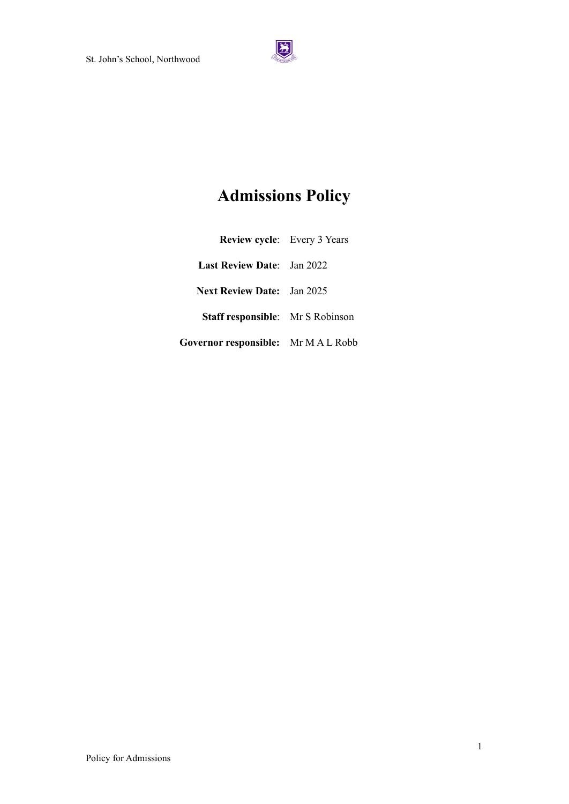

# **Admissions Policy**

| <b>Review cycle:</b> Every 3 Years         |  |
|--------------------------------------------|--|
| <b>Last Review Date:</b> Jan 2022          |  |
| <b>Next Review Date:</b> Jan 2025          |  |
| <b>Staff responsible:</b> Mr S Robinson    |  |
| <b>Governor responsible:</b> Mr M A L Robb |  |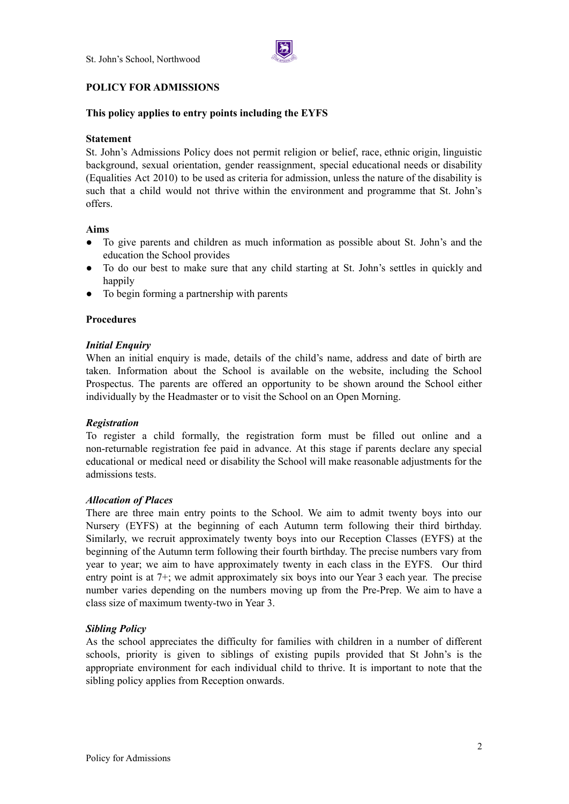

## **POLICY FOR ADMISSIONS**

# **This policy applies to entry points including the EYFS**

## **Statement**

St. John's Admissions Policy does not permit religion or belief, race, ethnic origin, linguistic background, sexual orientation, gender reassignment, special educational needs or disability (Equalities Act 2010) to be used as criteria for admission, unless the nature of the disability is such that a child would not thrive within the environment and programme that St. John's offers.

## **Aims**

- To give parents and children as much information as possible about St. John's and the education the School provides
- To do our best to make sure that any child starting at St. John's settles in quickly and happily
- To begin forming a partnership with parents

#### **Procedures**

## *Initial Enquiry*

When an initial enquiry is made, details of the child's name, address and date of birth are taken. Information about the School is available on the website, including the School Prospectus. The parents are offered an opportunity to be shown around the School either individually by the Headmaster or to visit the School on an Open Morning.

#### *Registration*

To register a child formally, the registration form must be filled out online and a non-returnable registration fee paid in advance. At this stage if parents declare any special educational or medical need or disability the School will make reasonable adjustments for the admissions tests.

#### *Allocation of Places*

There are three main entry points to the School. We aim to admit twenty boys into our Nursery (EYFS) at the beginning of each Autumn term following their third birthday. Similarly, we recruit approximately twenty boys into our Reception Classes (EYFS) at the beginning of the Autumn term following their fourth birthday. The precise numbers vary from year to year; we aim to have approximately twenty in each class in the EYFS. Our third entry point is at 7+; we admit approximately six boys into our Year 3 each year. The precise number varies depending on the numbers moving up from the Pre-Prep. We aim to have a class size of maximum twenty-two in Year 3.

## *Sibling Policy*

As the school appreciates the difficulty for families with children in a number of different schools, priority is given to siblings of existing pupils provided that St John's is the appropriate environment for each individual child to thrive. It is important to note that the sibling policy applies from Reception onwards.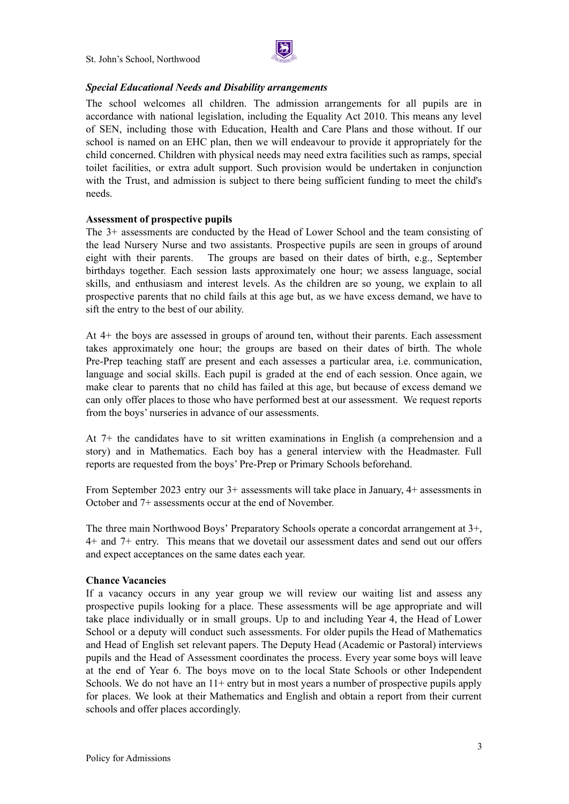St. John's School, Northwood



## *Special Educational Needs and Disability arrangements*

The school welcomes all children. The admission arrangements for all pupils are in accordance with national legislation, including the Equality Act 2010. This means any level of SEN, including those with Education, Health and Care Plans and those without. If our school is named on an EHC plan, then we will endeavour to provide it appropriately for the child concerned. Children with physical needs may need extra facilities such as ramps, special toilet facilities, or extra adult support. Such provision would be undertaken in conjunction with the Trust, and admission is subject to there being sufficient funding to meet the child's needs.

## **Assessment of prospective pupils**

The 3+ assessments are conducted by the Head of Lower School and the team consisting of the lead Nursery Nurse and two assistants. Prospective pupils are seen in groups of around eight with their parents. The groups are based on their dates of birth, e.g., September birthdays together. Each session lasts approximately one hour; we assess language, social skills, and enthusiasm and interest levels. As the children are so young, we explain to all prospective parents that no child fails at this age but, as we have excess demand, we have to sift the entry to the best of our ability.

At 4+ the boys are assessed in groups of around ten, without their parents. Each assessment takes approximately one hour; the groups are based on their dates of birth. The whole Pre-Prep teaching staff are present and each assesses a particular area, i.e. communication, language and social skills. Each pupil is graded at the end of each session. Once again, we make clear to parents that no child has failed at this age, but because of excess demand we can only offer places to those who have performed best at our assessment. We request reports from the boys' nurseries in advance of our assessments.

At 7+ the candidates have to sit written examinations in English (a comprehension and a story) and in Mathematics. Each boy has a general interview with the Headmaster. Full reports are requested from the boys' Pre-Prep or Primary Schools beforehand.

From September 2023 entry our 3+ assessments will take place in January, 4+ assessments in October and 7+ assessments occur at the end of November.

The three main Northwood Boys' Preparatory Schools operate a concordat arrangement at 3+, 4+ and 7+ entry. This means that we dovetail our assessment dates and send out our offers and expect acceptances on the same dates each year.

#### **Chance Vacancies**

If a vacancy occurs in any year group we will review our waiting list and assess any prospective pupils looking for a place. These assessments will be age appropriate and will take place individually or in small groups. Up to and including Year 4, the Head of Lower School or a deputy will conduct such assessments. For older pupils the Head of Mathematics and Head of English set relevant papers. The Deputy Head (Academic or Pastoral) interviews pupils and the Head of Assessment coordinates the process. Every year some boys will leave at the end of Year 6. The boys move on to the local State Schools or other Independent Schools. We do not have an  $11+$  entry but in most years a number of prospective pupils apply for places. We look at their Mathematics and English and obtain a report from their current schools and offer places accordingly.